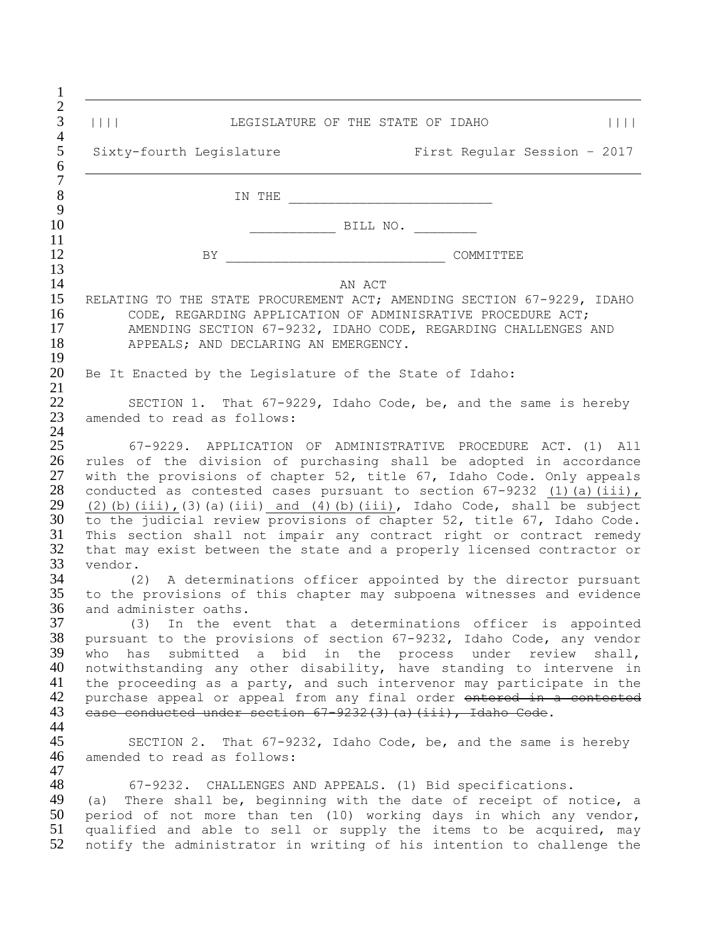| $\begin{tabular}{c} \hline \rule{0pt}{3ex} \rule{0pt}{3ex} \rule{0pt}{3ex} \rule{0pt}{3ex} \rule{0pt}{3ex} \rule{0pt}{3ex} \rule{0pt}{3ex} \rule{0pt}{3ex} \rule{0pt}{3ex} \rule{0pt}{3ex} \rule{0pt}{3ex} \rule{0pt}{3ex} \rule{0pt}{3ex} \rule{0pt}{3ex} \rule{0pt}{3ex} \rule{0pt}{3ex} \rule{0pt}{3ex} \rule{0pt}{3ex} \rule{0pt}{3ex} \rule{0pt}{3ex} \rule{0pt}{3ex} \rule{0pt}{3ex} \rule{0pt}{3ex} \rule$<br>LEGISLATURE OF THE STATE OF IDAHO<br>$\perp$ $\perp$ $\perp$                                                                                                                                                                                   |
|---------------------------------------------------------------------------------------------------------------------------------------------------------------------------------------------------------------------------------------------------------------------------------------------------------------------------------------------------------------------------------------------------------------------------------------------------------------------------------------------------------------------------------------------------------------------------------------------------------------------------------------------------------------------|
| Sixty-fourth Legislature<br>First Regular Session - 2017                                                                                                                                                                                                                                                                                                                                                                                                                                                                                                                                                                                                            |
| IN THE                                                                                                                                                                                                                                                                                                                                                                                                                                                                                                                                                                                                                                                              |
| BILL NO.                                                                                                                                                                                                                                                                                                                                                                                                                                                                                                                                                                                                                                                            |
|                                                                                                                                                                                                                                                                                                                                                                                                                                                                                                                                                                                                                                                                     |
| BY .<br>COMMITTEE                                                                                                                                                                                                                                                                                                                                                                                                                                                                                                                                                                                                                                                   |
| AN ACT<br>RELATING TO THE STATE PROCUREMENT ACT; AMENDING SECTION 67-9229, IDAHO<br>CODE, REGARDING APPLICATION OF ADMINISRATIVE PROCEDURE ACT;<br>AMENDING SECTION 67-9232, IDAHO CODE, REGARDING CHALLENGES AND<br>APPEALS; AND DECLARING AN EMERGENCY.                                                                                                                                                                                                                                                                                                                                                                                                           |
| Be It Enacted by the Legislature of the State of Idaho:                                                                                                                                                                                                                                                                                                                                                                                                                                                                                                                                                                                                             |
| SECTION 1. That 67-9229, Idaho Code, be, and the same is hereby<br>amended to read as follows:                                                                                                                                                                                                                                                                                                                                                                                                                                                                                                                                                                      |
| 67-9229. APPLICATION OF ADMINISTRATIVE PROCEDURE ACT. (1) All<br>rules of the division of purchasing shall be adopted in accordance<br>with the provisions of chapter 52, title 67, Idaho Code. Only appeals<br>conducted as contested cases pursuant to section $67-9232$ (1) (a) (iii),<br>$(2)$ (b) (iii), (3) (a) (iii) and (4) (b) (iii), Idaho Code, shall be subject<br>to the judicial review provisions of chapter 52, title 67, Idaho Code.<br>This section shall not impair any contract right or contract remedy<br>that may exist between the state and a properly licensed contractor or<br>vendor.                                                   |
| (2) A determinations officer appointed by the director pursuant<br>to the provisions of this chapter may subpoena witnesses and evidence<br>and administer oaths.<br>(3) In the event that a determinations officer is appointed<br>pursuant to the provisions of section 67-9232, Idaho Code, any vendor<br>who has<br>submitted a bid in the process under review shall,<br>notwithstanding any other disability, have standing to intervene in<br>the proceeding as a party, and such intervenor may participate in the<br>purchase appeal or appeal from any final order entered in a contested<br>ease conducted under section 67-9232(3)(a)(iii), Idaho Code. |
| SECTION 2. That 67-9232, Idaho Code, be, and the same is hereby<br>amended to read as follows:<br>67-9232. CHALLENGES AND APPEALS. (1) Bid specifications.<br>There shall be, beginning with the date of receipt of notice, a<br>(a)<br>period of not more than ten (10) working days in which any vendor,<br>qualified and able to sell or supply the items to be acquired, may<br>notify the administrator in writing of his intention to challenge the                                                                                                                                                                                                           |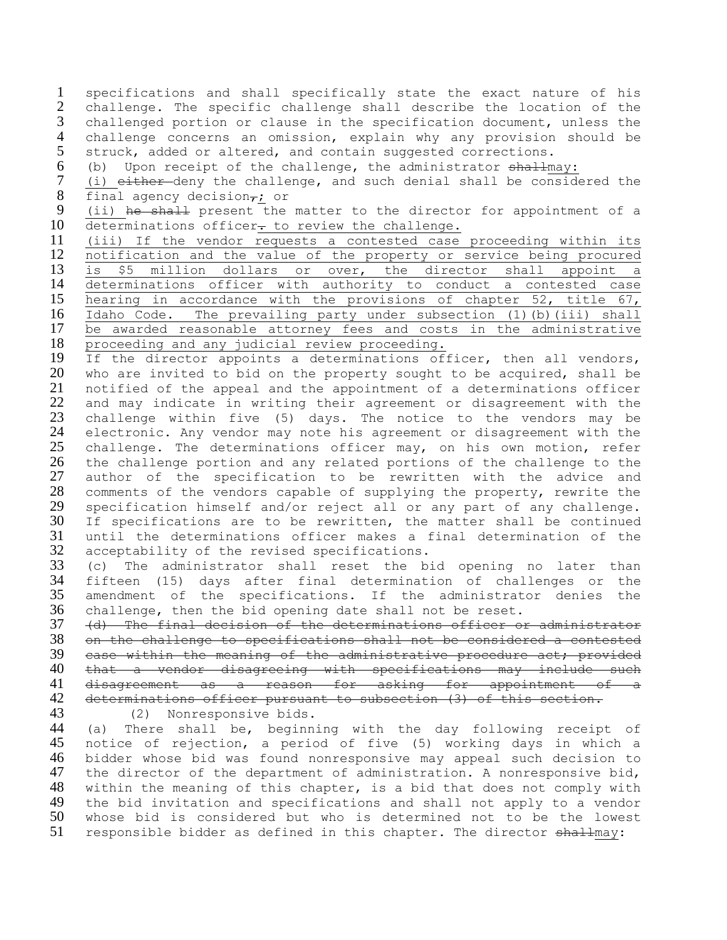specifications and shall specifically state the exact nature of his challenge. The specific challenge shall describe the location of the challenged portion or clause in the specification document, unless the 4 challenge concerns an omission, explain why any provision should be<br>5 struck, added or altered, and contain suggested corrections. struck, added or altered, and contain suggested corrections. (b) Upon receipt of the challenge, the administrator shallmay: (i) either deny the challenge, and such denial shall be considered the 8 final agency decision $\overline{r_i}$  or<br>9 (ii) he shall present the (ii) he shall present the matter to the director for appointment of a 10 determinations officer- to review the challenge. (iii) If the vendor requests a contested case proceeding within its notification and the value of the property or service being procured is \$5 million dollars or over, the director shall appoint a determinations officer with authority to conduct a contested case hearing in accordance with the provisions of [chapter 52, title 67,](https://legislature.idaho.gov/idstat/Title67/T67CH52.htm) Idaho Code. The prevailing party under subsection (1)(b)(iii) shall be awarded reasonable attorney fees and costs in the administrative proceeding and any judicial review proceeding. If the director appoints a determinations officer, then all vendors, who are invited to bid on the property sought to be acquired, shall be notified of the appeal and the appointment of a determinations officer and may indicate in writing their agreement or disagreement with the challenge within five (5) days. The notice to the vendors may be electronic. Any vendor may note his agreement or disagreement with the challenge. The determinations officer may, on his own motion, refer the challenge portion and any related portions of the challenge to the author of the specification to be rewritten with the advice and comments of the vendors capable of supplying the property, rewrite the specification himself and/or reject all or any part of any challenge. 30 If specifications are to be rewritten, the matter shall be continued<br>31 until the determinations officer makes a final determination of the until the determinations officer makes a final determination of the acceptability of the revised specifications. (c) The administrator shall reset the bid opening no later than fifteen (15) days after final determination of challenges or the amendment of the specifications. If the administrator denies the challenge, then the bid opening date shall not be reset. (d) The final decision of the determinations officer or administrator on the challenge to specifications shall not be considered a contested case within the meaning of the administrative procedure act; provided that a vendor disagreeing with specifications may include such disagreement as a reason for asking for appointment of a determinations officer pursuant to subsection (3) of this section. (2) Nonresponsive bids. (a) There shall be, beginning with the day following receipt of notice of rejection, a period of five (5) working days in which a bidder whose bid was found nonresponsive may appeal such decision to the director of the department of administration. A nonresponsive bid, within the meaning of this chapter, is a bid that does not comply with the bid invitation and specifications and shall not apply to a vendor whose bid is considered but who is determined not to be the lowest

51 responsible bidder as defined in this chapter. The director shallmay: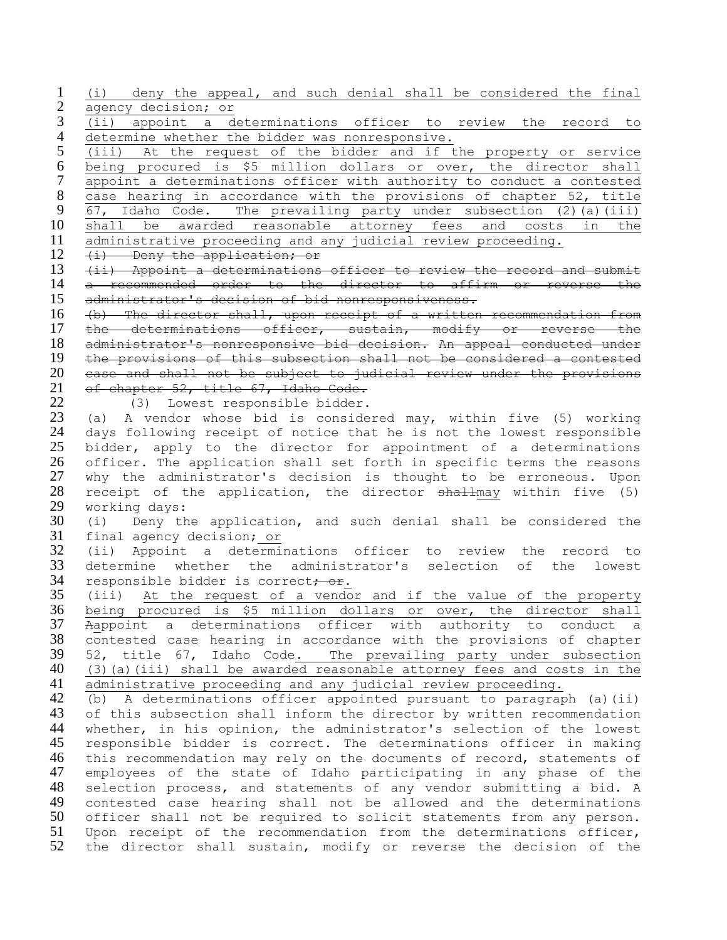(i) deny the appeal, and such denial shall be considered the final agency decision; or

 (ii) appoint a determinations officer to review the record to 4 determine whether the bidder was nonresponsive.<br>5 (iii) At the request of the bidder and if t

(iii) At the request of the bidder and if the property or service being procured is \$5 million dollars or over, the director shall appoint a determinations officer with authority to conduct a contested 8 case hearing in accordance with the provisions of chapter 52, title<br>9  $\overline{67}$ , Idaho Code. The prevailing party under subsection (2)(a)(iii) [67,](https://legislature.idaho.gov/idstat/Title67/T67CH52.htm) Idaho Code. The prevailing party under subsection  $(2)$  (a)(iii) shall be awarded reasonable attorney fees and costs in the administrative proceeding and any judicial review proceeding.

(i) Deny the application; or

13 (ii) Appoint a determinations officer to review the record and submit a recommended order to the director to affirm or reverse the administrator's decision of bid nonresponsiveness.

 (b) The director shall, upon receipt of a written recommendation from 17 the determinations officer, sustain, modify or reverse the administrator's nonresponsive bid decision. An appeal conducted under the provisions of this subsection shall not be considered a contested case and shall not be subject to judicial review under the provisions of chapter 52, title 67, Idaho Code.

(3) Lowest responsible bidder.

 (a) A vendor whose bid is considered may, within five (5) working days following receipt of notice that he is not the lowest responsible bidder, apply to the director for appointment of a determinations officer. The application shall set forth in specific terms the reasons why the administrator's decision is thought to be erroneous. Upon 28 receipt of the application, the director shallmay within five (5) 29 working days:<br>30 (i) Denv th

(i) Deny the application, and such denial shall be considered the final agency decision; or

 (ii) Appoint a determinations officer to review the record to determine whether the administrator's selection of the lowest 34 responsible bidder is correct<del>; or</del>.

 (iii) At the request of a vendor and if the value of the property being procured is \$5 million dollars or over, the director shall Aappoint a determinations officer with authority to conduct a contested case hearing in accordance with the provisions of chapter 52, title 67, Idaho Code. The prevailing party under subsection (3)(a)(iii) shall be awarded reasonable attorney fees and costs in the administrative proceeding and any judicial review proceeding.

 (b) A determinations officer appointed pursuant to paragraph (a)(ii) 43 of this subsection shall inform the director by written recommendation whether, in his opinion, the administrator's selection of the lowest responsible bidder is correct. The determinations officer in making this recommendation may rely on the documents of record, statements of employees of the state of Idaho participating in any phase of the selection process, and statements of any vendor submitting a bid. A contested case hearing shall not be allowed and the determinations officer shall not be required to solicit statements from any person. Upon receipt of the recommendation from the determinations officer, the director shall sustain, modify or reverse the decision of the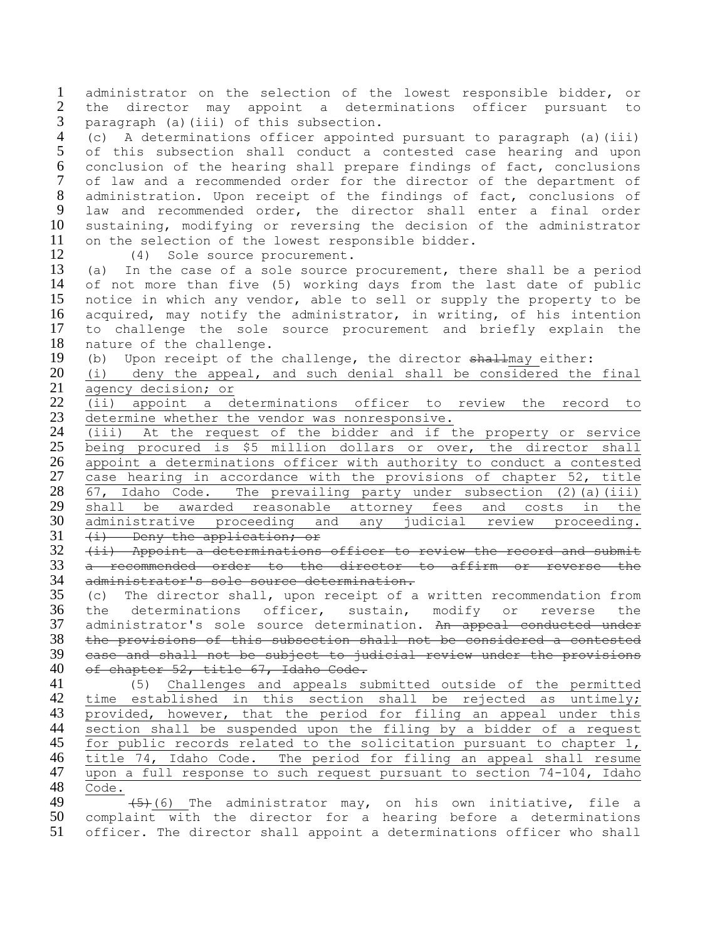administrator on the selection of the lowest responsible bidder, or the director may appoint a determinations officer pursuant to paragraph (a)(iii) of this subsection.

4 (c) A determinations officer appointed pursuant to paragraph (a)(iii)<br>5 of this subsection shall conduct a contested case hearing and upon of this subsection shall conduct a contested case hearing and upon conclusion of the hearing shall prepare findings of fact, conclusions of law and a recommended order for the director of the department of administration. Upon receipt of the findings of fact, conclusions of law and recommended order, the director shall enter a final order sustaining, modifying or reversing the decision of the administrator on the selection of the lowest responsible bidder.

(4) Sole source procurement.

 (a) In the case of a sole source procurement, there shall be a period of not more than five (5) working days from the last date of public notice in which any vendor, able to sell or supply the property to be acquired, may notify the administrator, in writing, of his intention to challenge the sole source procurement and briefly explain the nature of the challenge.

19 (b) Upon receipt of the challenge, the director shallmay either:

 (i) deny the appeal, and such denial shall be considered the final agency decision; or

 (ii) appoint a determinations officer to review the record to determine whether the vendor was nonresponsive.

 (iii) At the request of the bidder and if the property or service being procured is \$5 million dollars or over, the director shall appoint a determinations officer with authority to conduct a contested case hearing in accordance with the provisions of [chapter 52, title](https://legislature.idaho.gov/idstat/Title67/T67CH52.htm)   $\overline{67}$ , Idaho Code. The prevailing party under subsection (2)(a)(iii) 29 shall be awarded reasonable attorney fees and costs in the administrative proceeding and any judicial review proceeding. administrative proceeding and any judicial review proceeding. 31 (i) Deny the application; or

 (ii) Appoint a determinations officer to review the record and submit a recommended order to the director to affirm or reverse the administrator's sole source determination.

 (c) The director shall, upon receipt of a written recommendation from the determinations officer, sustain, modify or reverse the 37 administrator's sole source determination. An appeal conducted under the provisions of this subsection shall not be considered a contested case and shall not be subject to judicial review under the provisions of chapter 52, title 67, Idaho Code.

 (5) Challenges and appeals submitted outside of the permitted time established in this section shall be rejected as untimely; provided, however, that the period for filing an appeal under this section shall be suspended upon the filing by a bidder of a request for public records related to the solicitation pursuant to chapter 1, title 74, Idaho Code. The period for filing an appeal shall resume upon a full response to such request pursuant to section 74-104, Idaho Code.

 $\overline{\hspace{1cm}(\frac{5}{6})}$  (6) The administrator may, on his own initiative, file a complaint with the director for a hearing before a determinations officer. The director shall appoint a determinations officer who shall